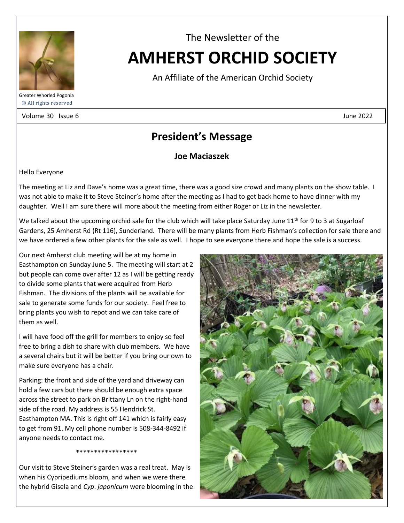

Greater Whorled Pogonia © All rights reserved

Volume 30 Issue 6 June 2022

## The Newsletter of the **AMHERST ORCHID SOCIETY**

An Affiliate of the American Orchid Society

## **President's Message**

٦

### **Joe Maciaszek**

Hello Everyone

The meeting at Liz and Dave's home was a great time, there was a good size crowd and many plants on the show table. I was not able to make it to Steve Steiner's home after the meeting as I had to get back home to have dinner with my daughter. Well I am sure there will more about the meeting from either Roger or Liz in the newsletter.

We talked about the upcoming orchid sale for the club which will take place Saturday June  $11^{th}$  for 9 to 3 at Sugarloaf Gardens, 25 Amherst Rd (Rt 116), Sunderland. There will be many plants from Herb Fishman's collection for sale there and we have ordered a few other plants for the sale as well. I hope to see everyone there and hope the sale is a success.

Our next Amherst club meeting will be at my home in Easthampton on Sunday June 5. The meeting will start at 2 but people can come over after 12 as I will be getting ready to divide some plants that were acquired from Herb Fishman. The divisions of the plants will be available for sale to generate some funds for our society. Feel free to bring plants you wish to repot and we can take care of them as well.

I will have food off the grill for members to enjoy so feel free to bring a dish to share with club members. We have a several chairs but it will be better if you bring our own to make sure everyone has a chair.

Parking: the front and side of the yard and driveway can hold a few cars but there should be enough extra space across the street to park on Brittany Ln on the right-hand side of the road. My address is 55 Hendrick St. Easthampton MA. This is right off 141 which is fairly easy to get from 91. My cell phone number is 508-344-8492 if anyone needs to contact me.

\*\*\*\*\*\*\*\*\*\*\*\*\*\*\*\*

Our visit to Steve Steiner's garden was a real treat. May is when his Cypripediums bloom, and when we were there the hybrid Gisela and *Cyp*. *japonicum* were blooming in the

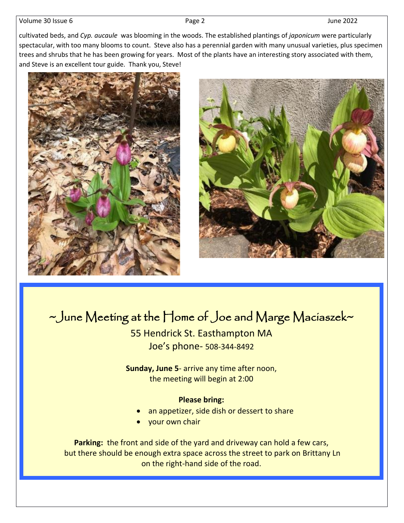#### Volume 30 Issue 6 Page 2 June 2022

cultivated beds, and *Cyp. aucaule* was blooming in the woods. The established plantings of *japonicum* were particularly spectacular, with too many blooms to count. Steve also has a perennial garden with many unusual varieties, plus specimen trees and shrubs that he has been growing for years. Most of the plants have an interesting story associated with them, and Steve is an excellent tour guide. Thank you, Steve!





# ~June Meeting at the Home of Joe and Marge Maciaszek~

55 Hendrick St. Easthampton MA Joe's phone- 508-344-8492

**Sunday, June 5**- arrive any time after noon, the meeting will begin at 2:00

#### **Please bring:**

- an appetizer, side dish or dessert to share
- your own chair

**Parking:** the front and side of the yard and driveway can hold a few cars, but there should be enough extra space across the street to park on Brittany Ln on the right-hand side of the road.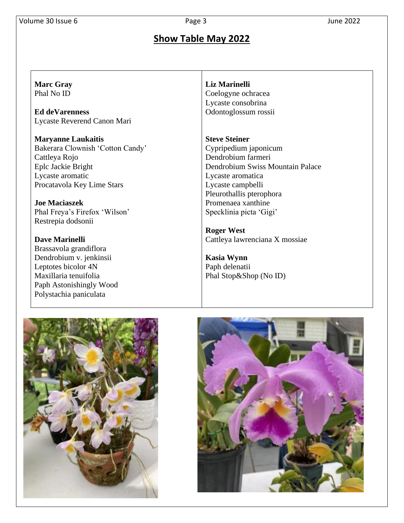## **Show Table May 2022**

**Marc Gray** Phal No ID

**Ed deVarenness** Lycaste Reverend Canon Mari

**Maryanne Laukaitis** Bakerara Clownish 'Cotton Candy' Cattleya Rojo Eplc Jackie Bright Lycaste aromatic Procatavola Key Lime Stars

**Joe Maciaszek** Phal Freya's Firefox 'Wilson' Restrepia dodsonii

**Dave Marinelli** Brassavola grandiflora Dendrobium v. jenkinsii Leptotes bicolor 4N Maxillaria tenuifolia Paph Astonishingly Wood Polystachia paniculata

**Liz Marinelli** Coelogyne ochracea Lycaste consobrina Odontoglossum rossii

**Steve Steiner**  Cypripedium japonicum Dendrobium farmeri Dendrobium Swiss Mountain Palace Lycaste aromatica Lycaste campbelli Pleurothallis pterophora Promenaea xanthine Specklinia picta 'Gigi'

**Roger West** Cattleya lawrenciana X mossiae

**Kasia Wynn** Paph delenatii Phal Stop&Shop (No ID)